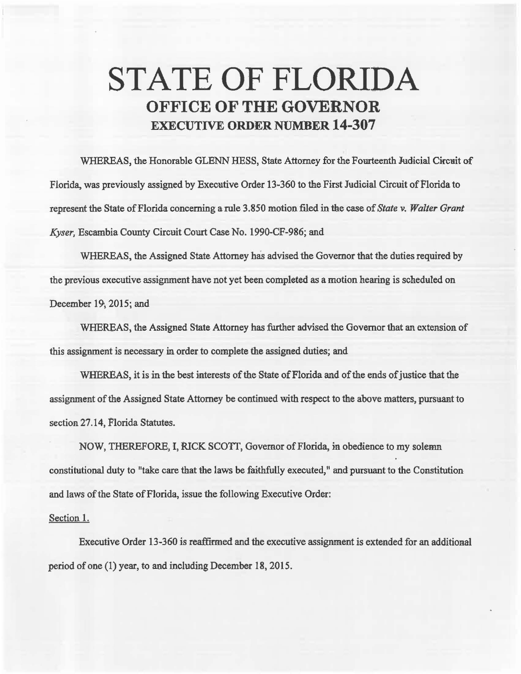## STATE OF FLORIDA **OFFICE OF THE GOVERNOR**  EXECUTIVE **ORDER NUMBER 14-307**

WHEREAS, the Honorable GLENN HESS, State Attorney for the Fourteenth Judicial Circuit of Florida, was previously assigned by Executive Order 13-360 to the First Judicial Circuit of Florida to represent the State of Florida concerning a rule 3.850 motion filed in the case of *State v. Walter Grant Kyser,* Escambia County Circuit Comt Case No. 1990-CF-986; and

WHEREAS, the Assigned State Attorney has advised the Governor that the duties required by the previous executive assignment have not yet been completed as a motion hearing is scheduted on December 19, 2015; and

WHEREAS, the Assigned State Attorney has further advised the Governor that an extension of this assignment is necessary in order to complete the assigned duties; and

WHEREAS, it is in the best interests of the State of Florida and of the ends of justice that the assignment of the Assigned State Attorney be continued with respect to the above matters, pursuant to section 27.14, Florida Statutes.

NOW, THEREFORE, I, RICK SCOTT, Governor of Florida, in obedience to my solemn. constitutional duty to "take care that the laws be faithfully executed," and pursuant to the Constitution and laws of the State of Florida, issue the following Executive Order:

## Section 1.

Executive Order 13-360 is reaffirmed and the executive assignment is extended for an additional period of one (1) year, to and including December 18, 2015.